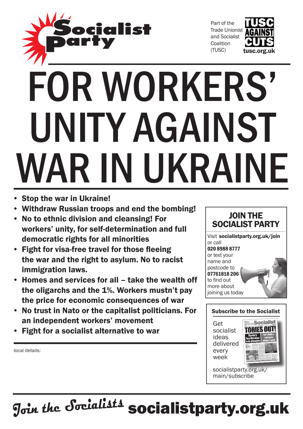

Part of the Trade Unionist and Socialist **Coalition** (TUSC)



# FOR WORKERS' unity against WAR IN UKRAINE

- • Stop the war in Ukraine!
- • Withdraw Russian troops and end the bombing!
- • No to ethnic division and cleansing! For workers' unity, for self-determination and full democratic rights for all minorities
- Fight for visa-free travel for those fleeing the war and the right to asylum. No to racist immigration laws.
- • Homes and services for all take the wealth off the oligarchs and the 1%. Workers mustn't pay the price for economic consequences of war
- • No trust in Nato or the capitalist politicians. For an independent workers' movement
- **Fight for a socialist alternative to war**

local details:



Visit socialistparty.org.uk/join or call 020 8988 8777 or text your name and postcode to 07761818 206 to find out more about joining us today

#### Subscribe to the Socialist

Get socialist ideas delivered every week



socialistparty.org.uk/ main/subscribe

**Join the Socialists** socialistparty.org.uk